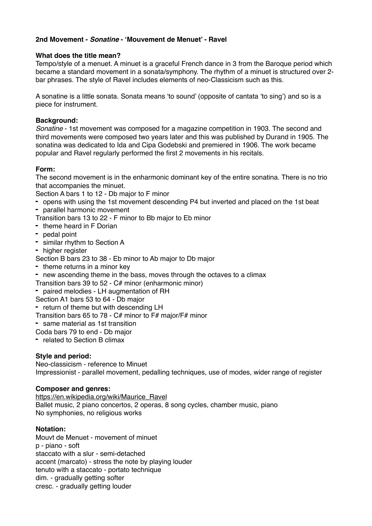# **2nd Movement -** *Sonatine* **- 'Mouvement de Menuet' - Ravel**

## **What does the title mean?**

Tempo/style of a menuet. A minuet is a graceful French dance in 3 from the Baroque period which became a standard movement in a sonata/symphony. The rhythm of a minuet is structured over 2 bar phrases. The style of Ravel includes elements of neo-Classicism such as this.

A sonatine is a little sonata. Sonata means 'to sound' (opposite of cantata 'to sing') and so is a piece for instrument.

#### **Background:**

*Sonatine* - 1st movement was composed for a magazine competition in 1903. The second and third movements were composed two years later and this was published by Durand in 1905. The sonatina was dedicated to Ida and Cipa Godebski and premiered in 1906. The work became popular and Ravel regularly performed the first 2 movements in his recitals.

## **Form:**

The second movement is in the enharmonic dominant key of the entire sonatina. There is no trio that accompanies the minuet.

Section A bars 1 to 12 - Db major to F minor

- **-** opens with using the 1st movement descending P4 but inverted and placed on the 1st beat
- **-** parallel harmonic movement
- Transition bars 13 to 22 F minor to Bb major to Eb minor
- **-** theme heard in F Dorian
- **-** pedal point
- **-** similar rhythm to Section A
- **-** higher register

Section B bars 23 to 38 - Eb minor to Ab major to Db major

- **-** theme returns in a minor key
- **-** new ascending theme in the bass, moves through the octaves to a climax
- Transition bars 39 to 52 C# minor (enharmonic minor)
- **-** paired melodies LH augmentation of RH

Section A1 bars 53 to 64 - Db major

**-** return of theme but with descending LH

- Transition bars 65 to 78 C# minor to F# major/F# minor
- **-** same material as 1st transition
- Coda bars 79 to end Db major
- **-** related to Section B climax

## **Style and period:**

Neo-classicism - reference to Minuet Impressionist - parallel movement, pedalling techniques, use of modes, wider range of register

#### **Composer and genres:**

[https://en.wikipedia.org/wiki/Maurice\\_Ravel](https://en.wikipedia.org/wiki/Maurice_Ravel) Ballet music, 2 piano concertos, 2 operas, 8 song cycles, chamber music, piano No symphonies, no religious works

## **Notation:**

Mouvt de Menuet - movement of minuet p - piano - soft staccato with a slur - semi-detached accent (marcato) - stress the note by playing louder tenuto with a staccato - portato technique dim. - gradually getting softer cresc. - gradually getting louder